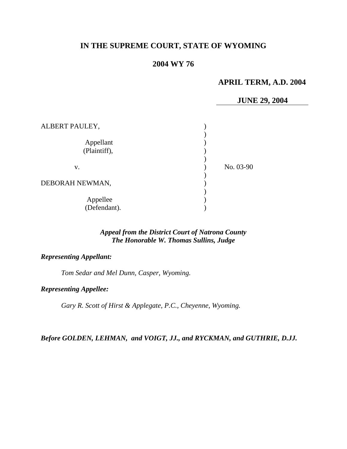# **IN THE SUPREME COURT, STATE OF WYOMING**

# **2004 WY 76**

# **APRIL TERM, A.D. 2004**

## **JUNE 29, 2004**

| ALBERT PAULEY,            |           |
|---------------------------|-----------|
| Appellant<br>(Plaintiff), |           |
| V.                        | No. 03-90 |
| DEBORAH NEWMAN,           |           |
| Appellee<br>(Defendant).  |           |

# *Appeal from the District Court of Natrona County The Honorable W. Thomas Sullins, Judge*

## *Representing Appellant:*

*Tom Sedar and Mel Dunn, Casper, Wyoming.* 

## *Representing Appellee:*

*Gary R. Scott of Hirst & Applegate, P.C., Cheyenne, Wyoming.* 

*Before GOLDEN, LEHMAN, and VOIGT, JJ., and RYCKMAN, and GUTHRIE, D.JJ.*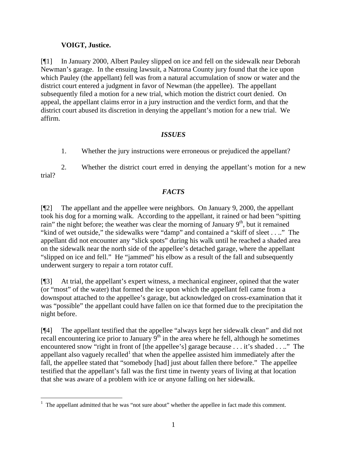# **VOIGT, Justice.**

[¶1] In January 2000, Albert Pauley slipped on ice and fell on the sidewalk near Deborah Newman's garage. In the ensuing lawsuit, a Natrona County jury found that the ice upon which Pauley (the appellant) fell was from a natural accumulation of snow or water and the district court entered a judgment in favor of Newman (the appellee). The appellant subsequently filed a motion for a new trial, which motion the district court denied. On appeal, the appellant claims error in a jury instruction and the verdict form, and that the district court abused its discretion in denying the appellant's motion for a new trial. We affirm.

# *ISSUES*

1. Whether the jury instructions were erroneous or prejudiced the appellant?

2. Whether the district court erred in denying the appellant's motion for a new trial?

# *FACTS*

[¶2] The appellant and the appellee were neighbors. On January 9, 2000, the appellant took his dog for a morning walk. According to the appellant, it rained or had been "spitting rain" the night before; the weather was clear the morning of January  $9<sup>th</sup>$ , but it remained "kind of wet outside," the sidewalks were "damp" and contained a "skiff of sleet . . .." The appellant did not encounter any "slick spots" during his walk until he reached a shaded area on the sidewalk near the north side of the appellee's detached garage, where the appellant "slipped on ice and fell." He "jammed" his elbow as a result of the fall and subsequently underwent surgery to repair a torn rotator cuff.

[¶3] At trial, the appellant's expert witness, a mechanical engineer, opined that the water (or "most" of the water) that formed the ice upon which the appellant fell came from a downspout attached to the appellee's garage, but acknowledged on cross-examination that it was "possible" the appellant could have fallen on ice that formed due to the precipitation the night before.

[¶4] The appellant testified that the appellee "always kept her sidewalk clean" and did not recall encountering ice prior to January  $\hat{9}^{th}$  in the area where he fell, although he sometimes encountered snow "right in front of [the appellee's] garage because . . . it's shaded . . .." The appellant also vaguely recalled<sup>1</sup> that when the appellee assisted him immediately after the fall, the appellee stated that "somebody [had] just about fallen there before." The appellee testified that the appellant's fall was the first time in twenty years of living at that location that she was aware of a problem with ice or anyone falling on her sidewalk.

  $<sup>1</sup>$  The appellant admitted that he was "not sure about" whether the appellee in fact made this comment.</sup>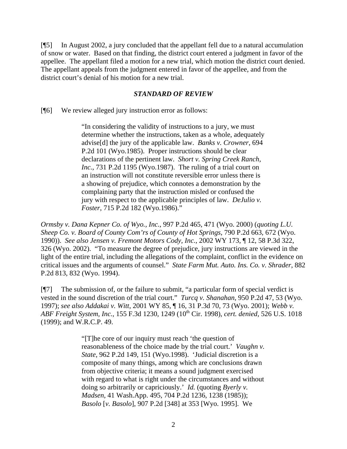[¶5] In August 2002, a jury concluded that the appellant fell due to a natural accumulation of snow or water. Based on that finding, the district court entered a judgment in favor of the appellee. The appellant filed a motion for a new trial, which motion the district court denied. The appellant appeals from the judgment entered in favor of the appellee, and from the district court's denial of his motion for a new trial.

### *STANDARD OF REVIEW*

[¶6] We review alleged jury instruction error as follows:

"In considering the validity of instructions to a jury, we must determine whether the instructions, taken as a whole, adequately advise[d] the jury of the applicable law. *Banks v. Crowner*, 694 P.2d 101 (Wyo.1985). Proper instructions should be clear declarations of the pertinent law. *Short v. Spring Creek Ranch, Inc.*, 731 P.2d 1195 (Wyo.1987). The ruling of a trial court on an instruction will not constitute reversible error unless there is a showing of prejudice, which connotes a demonstration by the complaining party that the instruction misled or confused the jury with respect to the applicable principles of law. *DeJulio v. Foster*, 715 P.2d 182 (Wyo.1986)."

*Ormsby v. Dana Kepner Co. of Wyo., Inc.*, 997 P.2d 465, 471 (Wyo. 2000) (*quoting L.U. Sheep Co. v. Board of County Com'rs of County of Hot Springs*, 790 P.2d 663, 672 (Wyo. 1990)). *See also Jensen v. Fremont Motors Cody, Inc.*, 2002 WY 173, ¶ 12, 58 P.3d 322, 326 (Wyo. 2002). "To measure the degree of prejudice, jury instructions are viewed in the light of the entire trial, including the allegations of the complaint, conflict in the evidence on critical issues and the arguments of counsel." *State Farm Mut. Auto. Ins. Co. v. Shrader*, 882 P.2d 813, 832 (Wyo. 1994).

[¶7] The submission of, or the failure to submit, "a particular form of special verdict is vested in the sound discretion of the trial court." *Turcq v. Shanahan*, 950 P.2d 47, 53 (Wyo. 1997); *see also Addakai v. Witt*, 2001 WY 85, ¶ 16, 31 P.3d 70, 73 (Wyo. 2001); *Webb v. ABF Freight System, Inc.*, 155 F.3d 1230, 1249 (10th Cir. 1998), *cert. denied*, 526 U.S. 1018 (1999); and W.R.C.P. 49.

> "[T]he core of our inquiry must reach 'the question of reasonableness of the choice made by the trial court.' *Vaughn v. State*, 962 P.2d 149, 151 (Wyo.1998). 'Judicial discretion is a composite of many things, among which are conclusions drawn from objective criteria; it means a sound judgment exercised with regard to what is right under the circumstances and without doing so arbitrarily or capriciously.' *Id.* (quoting *Byerly v. Madsen*, 41 Wash.App. 495, 704 P.2d 1236, 1238 (1985)); *Basolo* [*v. Basolo*], 907 P.2d [348] at 353 [Wyo. 1995]. We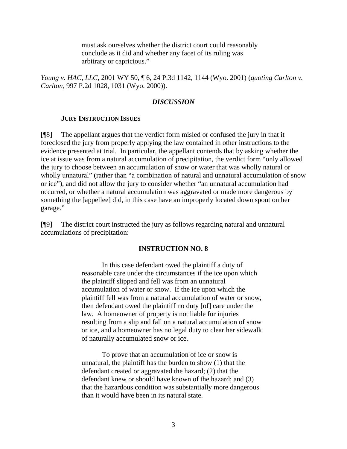must ask ourselves whether the district court could reasonably conclude as it did and whether any facet of its ruling was arbitrary or capricious."

*Young v. HAC, LLC*, 2001 WY 50, ¶ 6, 24 P.3d 1142, 1144 (Wyo. 2001) (*quoting Carlton v. Carlton*, 997 P.2d 1028, 1031 (Wyo. 2000)).

#### *DISCUSSION*

#### **JURY INSTRUCTION ISSUES**

[¶8] The appellant argues that the verdict form misled or confused the jury in that it foreclosed the jury from properly applying the law contained in other instructions to the evidence presented at trial. In particular, the appellant contends that by asking whether the ice at issue was from a natural accumulation of precipitation, the verdict form "only allowed the jury to choose between an accumulation of snow or water that was wholly natural or wholly unnatural" (rather than "a combination of natural and unnatural accumulation of snow or ice"), and did not allow the jury to consider whether "an unnatural accumulation had occurred, or whether a natural accumulation was aggravated or made more dangerous by something the [appellee] did, in this case have an improperly located down spout on her garage."

[¶9] The district court instructed the jury as follows regarding natural and unnatural accumulations of precipitation:

#### **INSTRUCTION NO. 8**

In this case defendant owed the plaintiff a duty of reasonable care under the circumstances if the ice upon which the plaintiff slipped and fell was from an unnatural accumulation of water or snow. If the ice upon which the plaintiff fell was from a natural accumulation of water or snow, then defendant owed the plaintiff no duty [of] care under the law. A homeowner of property is not liable for injuries resulting from a slip and fall on a natural accumulation of snow or ice, and a homeowner has no legal duty to clear her sidewalk of naturally accumulated snow or ice.

To prove that an accumulation of ice or snow is unnatural, the plaintiff has the burden to show (1) that the defendant created or aggravated the hazard; (2) that the defendant knew or should have known of the hazard; and (3) that the hazardous condition was substantially more dangerous than it would have been in its natural state.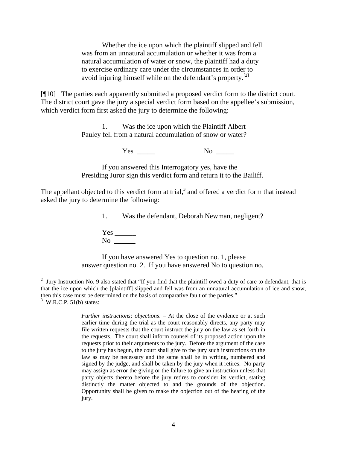Whether the ice upon which the plaintiff slipped and fell was from an unnatural accumulation or whether it was from a natural accumulation of water or snow, the plaintiff had a duty to exercise ordinary care under the circumstances in order to avoid injuring himself while on the defendant's property. $[2]$ 

[¶10] The parties each apparently submitted a proposed verdict form to the district court. The district court gave the jury a special verdict form based on the appellee's submission, which verdict form first asked the jury to determine the following:

> 1. Was the ice upon which the Plaintiff Albert Pauley fell from a natural accumulation of snow or water?

> > Yes No

If you answered this Interrogatory yes, have the Presiding Juror sign this verdict form and return it to the Bailiff.

The appellant objected to this verdict form at trial, $3$  and offered a verdict form that instead asked the jury to determine the following:

1. Was the defendant, Deborah Newman, negligent?

Yes \_\_\_\_\_\_ No  $\Box$ 

If you have answered Yes to question no. 1, please answer question no. 2. If you have answered No to question no.

 $\overline{a}$ 

<sup>2</sup> Jury Instruction No. 9 also stated that "If you find that the plaintiff owed a duty of care to defendant, that is that the ice upon which the [plaintiff] slipped and fell was from an unnatural accumulation of ice and snow, then this case must be determined on the basis of comparative fault of the parties."  $3$  W.R.C.P. 51(b) states:

*Further instructions; objections*. – At the close of the evidence or at such earlier time during the trial as the court reasonably directs, any party may file written requests that the court instruct the jury on the law as set forth in the requests. The court shall inform counsel of its proposed action upon the requests prior to their arguments to the jury. Before the argument of the case to the jury has begun, the court shall give to the jury such instructions on the law as may be necessary and the same shall be in writing, numbered and signed by the judge, and shall be taken by the jury when it retires. No party may assign as error the giving or the failure to give an instruction unless that party objects thereto before the jury retires to consider its verdict, stating distinctly the matter objected to and the grounds of the objection. Opportunity shall be given to make the objection out of the hearing of the jury.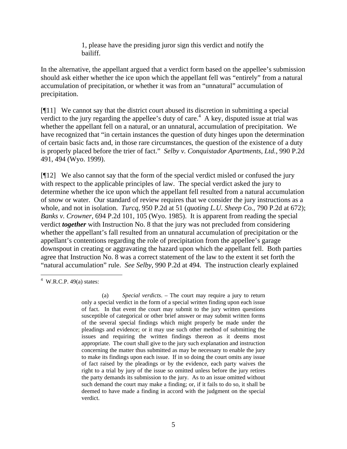1, please have the presiding juror sign this verdict and notify the bailiff.

In the alternative, the appellant argued that a verdict form based on the appellee's submission should ask either whether the ice upon which the appellant fell was "entirely" from a natural accumulation of precipitation, or whether it was from an "unnatural" accumulation of precipitation.

[¶11] We cannot say that the district court abused its discretion in submitting a special verdict to the jury regarding the appellee's duty of care.<sup>4</sup> A key, disputed issue at trial was whether the appellant fell on a natural, or an unnatural, accumulation of precipitation. We have recognized that "in certain instances the question of duty hinges upon the determination of certain basic facts and, in those rare circumstances, the question of the existence of a duty is properly placed before the trier of fact." *Selby v. Conquistador Apartments, Ltd.*, 990 P.2d 491, 494 (Wyo. 1999).

[¶12] We also cannot say that the form of the special verdict misled or confused the jury with respect to the applicable principles of law. The special verdict asked the jury to determine whether the ice upon which the appellant fell resulted from a natural accumulation of snow or water. Our standard of review requires that we consider the jury instructions as a whole, and not in isolation. *Turcq,* 950 P.2d at 51 (*quoting L.U. Sheep Co.*, 790 P.2d at 672); *Banks v. Crowner,* 694 P.2d 101, 105 (Wyo. 1985). It is apparent from reading the special verdict *together* with Instruction No. 8 that the jury was not precluded from considering whether the appellant's fall resulted from an unnatural accumulation of precipitation or the appellant's contentions regarding the role of precipitation from the appellee's garage downspout in creating or aggravating the hazard upon which the appellant fell. Both parties agree that Instruction No. 8 was a correct statement of the law to the extent it set forth the "natural accumulation" rule. *See Selby*, 990 P.2d at 494. The instruction clearly explained

 $\frac{4 \text{ W.R.C.P. 49(a) states:}}{4 \text{ W.R.C.P. 49(b)}}$ 

<sup>(</sup>a) *Special verdicts*. – The court may require a jury to return only a special verdict in the form of a special written finding upon each issue of fact. In that event the court may submit to the jury written questions susceptible of categorical or other brief answer or may submit written forms of the several special findings which might properly be made under the pleadings and evidence; or it may use such other method of submitting the issues and requiring the written findings thereon as it deems most appropriate. The court shall give to the jury such explanation and instruction concerning the matter thus submitted as may be necessary to enable the jury to make its findings upon each issue. If in so doing the court omits any issue of fact raised by the pleadings or by the evidence, each party waives the right to a trial by jury of the issue so omitted unless before the jury retires the party demands its submission to the jury. As to an issue omitted without such demand the court may make a finding; or, if it fails to do so, it shall be deemed to have made a finding in accord with the judgment on the special verdict.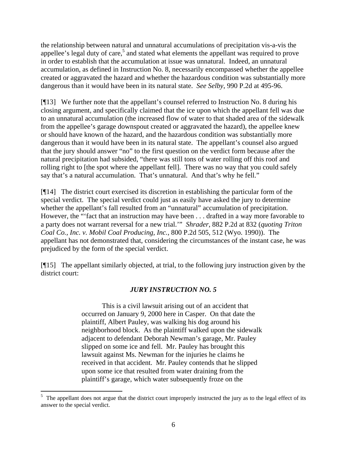the relationship between natural and unnatural accumulations of precipitation vis-a-vis the appellee's legal duty of care,<sup>5</sup> and stated what elements the appellant was required to prove in order to establish that the accumulation at issue was unnatural. Indeed, an unnatural accumulation, as defined in Instruction No. 8, necessarily encompassed whether the appellee created or aggravated the hazard and whether the hazardous condition was substantially more dangerous than it would have been in its natural state. *See Selby*, 990 P.2d at 495-96.

[¶13] We further note that the appellant's counsel referred to Instruction No. 8 during his closing argument, and specifically claimed that the ice upon which the appellant fell was due to an unnatural accumulation (the increased flow of water to that shaded area of the sidewalk from the appellee's garage downspout created or aggravated the hazard), the appellee knew or should have known of the hazard, and the hazardous condition was substantially more dangerous than it would have been in its natural state. The appellant's counsel also argued that the jury should answer "no" to the first question on the verdict form because after the natural precipitation had subsided, "there was still tons of water rolling off this roof and rolling right to [the spot where the appellant fell]. There was no way that you could safely say that's a natural accumulation. That's unnatural. And that's why he fell."

[¶14] The district court exercised its discretion in establishing the particular form of the special verdict. The special verdict could just as easily have asked the jury to determine whether the appellant's fall resulted from an "unnatural" accumulation of precipitation. However, the "'fact that an instruction may have been . . . drafted in a way more favorable to a party does not warrant reversal for a new trial.'" *Shrader*, 882 P.2d at 832 (*quoting Triton Coal Co., Inc. v. Mobil Coal Producing, Inc.*, 800 P.2d 505, 512 (Wyo. 1990)). The appellant has not demonstrated that, considering the circumstances of the instant case, he was prejudiced by the form of the special verdict.

[¶15] The appellant similarly objected, at trial, to the following jury instruction given by the district court:

## *JURY INSTRUCTION NO. 5*

This is a civil lawsuit arising out of an accident that occurred on January 9, 2000 here in Casper. On that date the plaintiff, Albert Pauley, was walking his dog around his neighborhood block. As the plaintiff walked upon the sidewalk adjacent to defendant Deborah Newman's garage, Mr. Pauley slipped on some ice and fell. Mr. Pauley has brought this lawsuit against Ms. Newman for the injuries he claims he received in that accident. Mr. Pauley contends that he slipped upon some ice that resulted from water draining from the plaintiff's garage, which water subsequently froze on the

<sup>&</sup>lt;sup>5</sup> The appellant does not argue that the district court improperly instructed the jury as to the legal effect of its answer to the special verdict.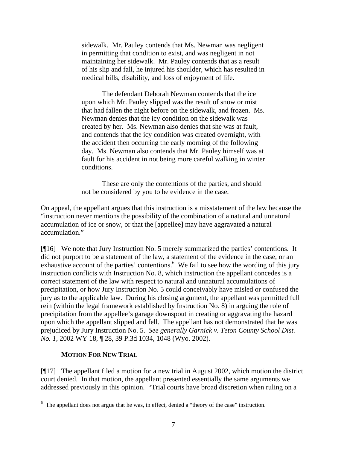sidewalk. Mr. Pauley contends that Ms. Newman was negligent in permitting that condition to exist, and was negligent in not maintaining her sidewalk. Mr. Pauley contends that as a result of his slip and fall, he injured his shoulder, which has resulted in medical bills, disability, and loss of enjoyment of life.

The defendant Deborah Newman contends that the ice upon which Mr. Pauley slipped was the result of snow or mist that had fallen the night before on the sidewalk, and frozen. Ms. Newman denies that the icy condition on the sidewalk was created by her. Ms. Newman also denies that she was at fault, and contends that the icy condition was created overnight, with the accident then occurring the early morning of the following day. Ms. Newman also contends that Mr. Pauley himself was at fault for his accident in not being more careful walking in winter conditions.

These are only the contentions of the parties, and should not be considered by you to be evidence in the case.

On appeal, the appellant argues that this instruction is a misstatement of the law because the "instruction never mentions the possibility of the combination of a natural and unnatural accumulation of ice or snow, or that the [appellee] may have aggravated a natural accumulation."

[¶16] We note that Jury Instruction No. 5 merely summarized the parties' contentions. It did not purport to be a statement of the law, a statement of the evidence in the case, or an exhaustive account of the parties' contentions.<sup>6</sup> We fail to see how the wording of this jury instruction conflicts with Instruction No. 8, which instruction the appellant concedes is a correct statement of the law with respect to natural and unnatural accumulations of precipitation, or how Jury Instruction No. 5 could conceivably have misled or confused the jury as to the applicable law. During his closing argument, the appellant was permitted full rein (within the legal framework established by Instruction No. 8) in arguing the role of precipitation from the appellee's garage downspout in creating or aggravating the hazard upon which the appellant slipped and fell. The appellant has not demonstrated that he was prejudiced by Jury Instruction No. 5. *See generally Garnick v. Teton County School Dist. No. 1*, 2002 WY 18, ¶ 28, 39 P.3d 1034, 1048 (Wyo. 2002).

## **MOTION FOR NEW TRIAL**

[¶17] The appellant filed a motion for a new trial in August 2002, which motion the district court denied. In that motion, the appellant presented essentially the same arguments we addressed previously in this opinion. "Trial courts have broad discretion when ruling on a

<sup>&</sup>lt;sup>6</sup> The appellant does not argue that he was, in effect, denied a "theory of the case" instruction.